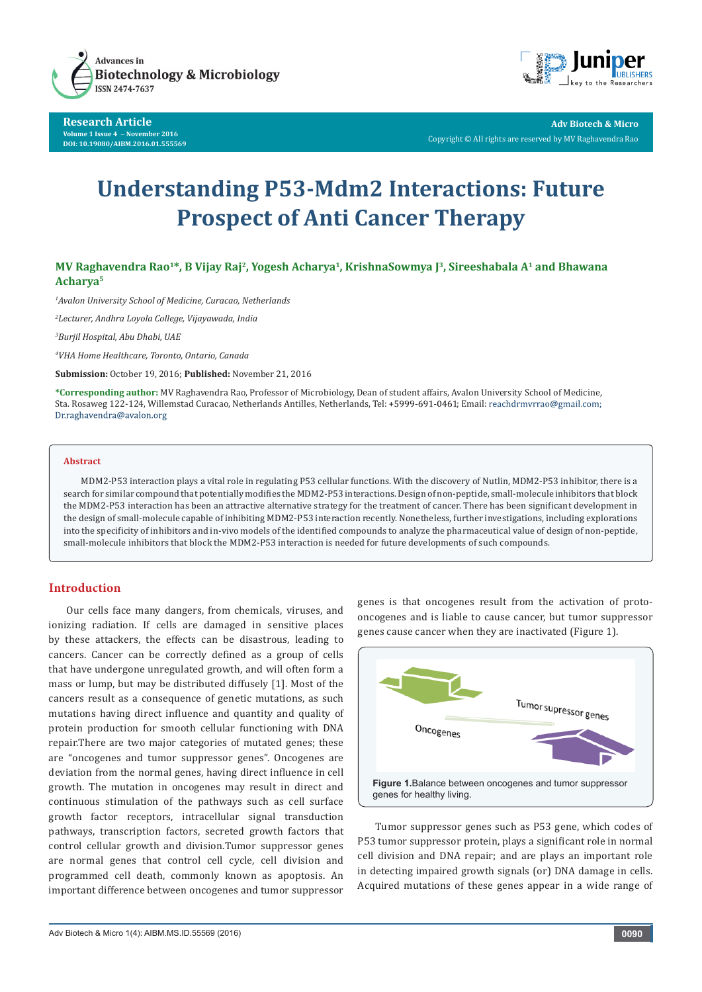

**Research Article Volume 1 Issue 4** - **November 2016 DOI: [10.19080/AIBM.2016.01.555569](http://dx.doi.org/10.19080/AIBM.2016.01.555569
)**



**Adv Biotech & Micro** Copyright © All rights are reserved by MV Raghavendra Rao

# **Understanding P53-Mdm2 Interactions: Future Prospect of Anti Cancer Therapy**

**MV Raghavendra Rao1\*, B Vijay Raj2, Yogesh Acharya1, KrishnaSowmya J3, Sireeshabala A1 and Bhawana Acharya5**

*1 Avalon University School of Medicine, Curacao, Netherlands*

*2 Lecturer, Andhra Loyola College, Vijayawada, India*

*3 Burjil Hospital, Abu Dhabi, UAE*

*4 VHA Home Healthcare, Toronto, Ontario, Canada*

**Submission:** October 19, 2016; **Published:** November 21, 2016

**\*Corresponding author:** MV Raghavendra Rao, Professor of Microbiology, Dean of student affairs, Avalon University School of Medicine, Sta. Rosaweg 122-124, Willemstad Curacao, Netherlands Antilles, Netherlands, Tel: +5999-691-0461; Email: reachdrmvrrao@gmail.com;<br>Dr.raghavendra@avalon.org

## **Abstract**

MDM2-P53 interaction plays a vital role in regulating P53 cellular functions. With the discovery of Nutlin, MDM2-P53 inhibitor, there is a search for similar compound that potentially modifies the MDM2-P53 interactions. Design of non-peptide, small-molecule inhibitors that block the MDM2-P53 interaction has been an attractive alternative strategy for the treatment of cancer. There has been significant development in the design of small-molecule capable of inhibiting MDM2-P53 interaction recently. Nonetheless, further investigations, including explorations into the specificity of inhibitors and in-vivo models of the identified compounds to analyze the pharmaceutical value of design of non-peptide, small-molecule inhibitors that block the MDM2-P53 interaction is needed for future developments of such compounds.

### **Introduction**

Our cells face many dangers, from chemicals, viruses, and ionizing radiation. If cells are damaged in sensitive places by these attackers, the effects can be disastrous, leading to cancers. Cancer can be correctly defined as a group of cells that have undergone unregulated growth, and will often form a mass or lump, but may be distributed diffusely [1]. Most of the cancers result as a consequence of genetic mutations, as such mutations having direct influence and quantity and quality of protein production for smooth cellular functioning with DNA repair.There are two major categories of mutated genes; these are "oncogenes and tumor suppressor genes". Oncogenes are deviation from the normal genes, having direct influence in cell growth. The mutation in oncogenes may result in direct and continuous stimulation of the pathways such as cell surface growth factor receptors, intracellular signal transduction pathways, transcription factors, secreted growth factors that control cellular growth and division.Tumor suppressor genes are normal genes that control cell cycle, cell division and programmed cell death, commonly known as apoptosis. An important difference between oncogenes and tumor suppressor

genes is that oncogenes result from the activation of protooncogenes and is liable to cause cancer, but tumor suppressor genes cause cancer when they are inactivated (Figure 1).



Tumor suppressor genes such as P53 gene, which codes of P53 tumor suppressor protein, plays a significant role in normal cell division and DNA repair; and are plays an important role in detecting impaired growth signals (or) DNA damage in cells. Acquired mutations of these genes appear in a wide range of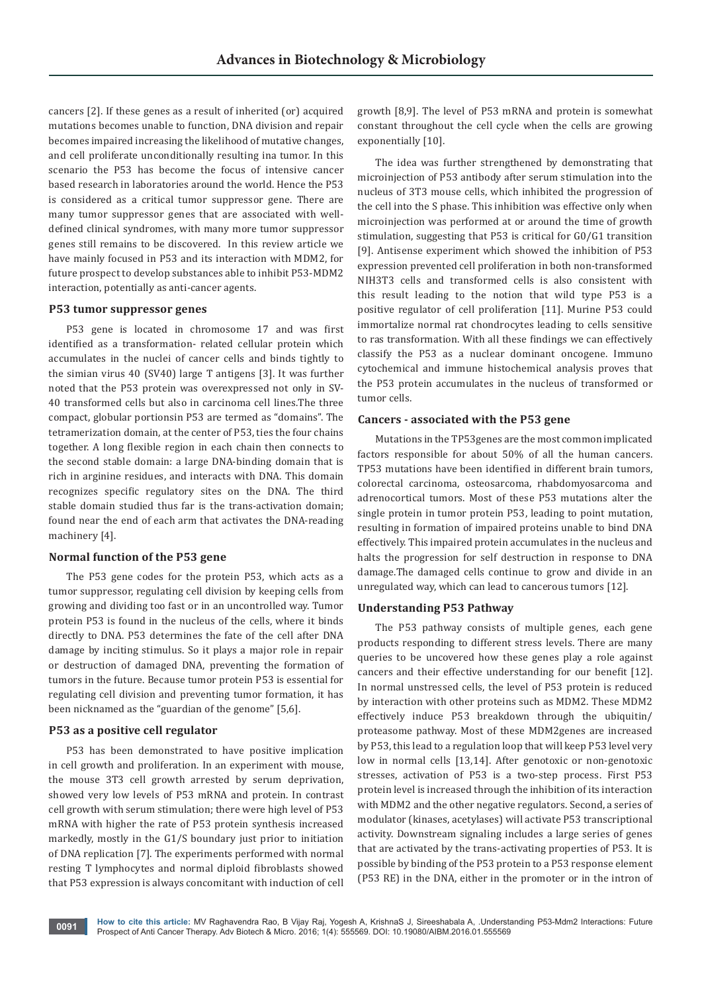cancers [2]. If these genes as a result of inherited (or) acquired mutations becomes unable to function, DNA division and repair becomes impaired increasing the likelihood of mutative changes, and cell proliferate unconditionally resulting ina tumor. In this scenario the P53 has become the focus of intensive cancer based research in laboratories around the world. Hence the P53 is considered as a critical tumor suppressor gene. There are many tumor suppressor genes that are associated with welldefined clinical syndromes, with many more tumor suppressor genes still remains to be discovered. In this review article we have mainly focused in P53 and its interaction with MDM2, for future prospect to develop substances able to inhibit P53-MDM2 interaction, potentially as anti-cancer agents.

#### **P53 tumor suppressor genes**

P53 gene is located in chromosome 17 and was first identified as a transformation- related cellular protein which accumulates in the nuclei of cancer cells and binds tightly to the simian virus 40 (SV40) large T antigens [3]. It was further noted that the P53 protein was overexpressed not only in SV-40 transformed cells but also in carcinoma cell lines.The three compact, globular portionsin P53 are termed as "domains". The tetramerization domain, at the center of P53, ties the four chains together. A long flexible region in each chain then connects to the second stable domain: a large DNA-binding domain that is rich in arginine residues, and interacts with DNA. This domain recognizes specific regulatory sites on the DNA. The third stable domain studied thus far is the trans-activation domain; found near the end of each arm that activates the DNA-reading machinery [4].

#### **Normal function of the P53 gene**

The P53 gene codes for the protein P53, which acts as a tumor suppressor, regulating cell division by keeping cells from growing and dividing too fast or in an uncontrolled way. Tumor protein P53 is found in the nucleus of the cells, where it binds directly to DNA. P53 determines the fate of the cell after DNA damage by inciting stimulus. So it plays a major role in repair or destruction of damaged DNA, preventing the formation of tumors in the future. Because tumor protein P53 is essential for regulating cell division and preventing tumor formation, it has been nicknamed as the "guardian of the genome" [5,6].

#### **P53 as a positive cell regulator**

P53 has been demonstrated to have positive implication in cell growth and proliferation. In an experiment with mouse, the mouse 3T3 cell growth arrested by serum deprivation, showed very low levels of P53 mRNA and protein. In contrast cell growth with serum stimulation; there were high level of P53 mRNA with higher the rate of P53 protein synthesis increased markedly, mostly in the G1/S boundary just prior to initiation of DNA replication [7]. The experiments performed with normal resting T lymphocytes and normal diploid fibroblasts showed that P53 expression is always concomitant with induction of cell

growth [8,9]. The level of P53 mRNA and protein is somewhat constant throughout the cell cycle when the cells are growing exponentially [10].

The idea was further strengthened by demonstrating that microinjection of P53 antibody after serum stimulation into the nucleus of 3T3 mouse cells, which inhibited the progression of the cell into the S phase. This inhibition was effective only when microinjection was performed at or around the time of growth stimulation, suggesting that P53 is critical for G0/G1 transition [9]. Antisense experiment which showed the inhibition of P53 expression prevented cell proliferation in both non-transformed NIH3T3 cells and transformed cells is also consistent with this result leading to the notion that wild type P53 is a positive regulator of cell proliferation [11]. Murine P53 could immortalize normal rat chondrocytes leading to cells sensitive to ras transformation. With all these findings we can effectively classify the P53 as a nuclear dominant oncogene. Immuno cytochemical and immune histochemical analysis proves that the P53 protein accumulates in the nucleus of transformed or tumor cells.

#### **Cancers - associated with the P53 gene**

Mutations in the TP53genes are the most common implicated factors responsible for about 50% of all the human cancers. TP53 mutations have been identified in different brain tumors, colorectal carcinoma, osteosarcoma, rhabdomyosarcoma and adrenocortical tumors. Most of these P53 mutations alter the single protein in tumor protein P53, leading to point mutation, resulting in formation of impaired proteins unable to bind DNA effectively. This impaired protein accumulates in the nucleus and halts the progression for self destruction in response to DNA damage.The damaged cells continue to grow and divide in an unregulated way, which can lead to cancerous tumors [12].

#### **Understanding P53 Pathway**

The P53 pathway consists of multiple genes, each gene products responding to different stress levels. There are many queries to be uncovered how these genes play a role against cancers and their effective understanding for our benefit [12]. In normal unstressed cells, the level of P53 protein is reduced by interaction with other proteins such as MDM2. These MDM2 effectively induce P53 breakdown through the ubiquitin/ proteasome pathway. Most of these MDM2genes are increased by P53, this lead to a regulation loop that will keep P53 level very low in normal cells [13,14]. After genotoxic or non-genotoxic stresses, activation of P53 is a two-step process. First P53 protein level is increased through the inhibition of its interaction with MDM2 and the other negative regulators. Second, a series of modulator (kinases, acetylases) will activate P53 transcriptional activity. Downstream signaling includes a large series of genes that are activated by the trans-activating properties of P53. It is possible by binding of the P53 protein to a P53 response element (P53 RE) in the DNA, either in the promoter or in the intron of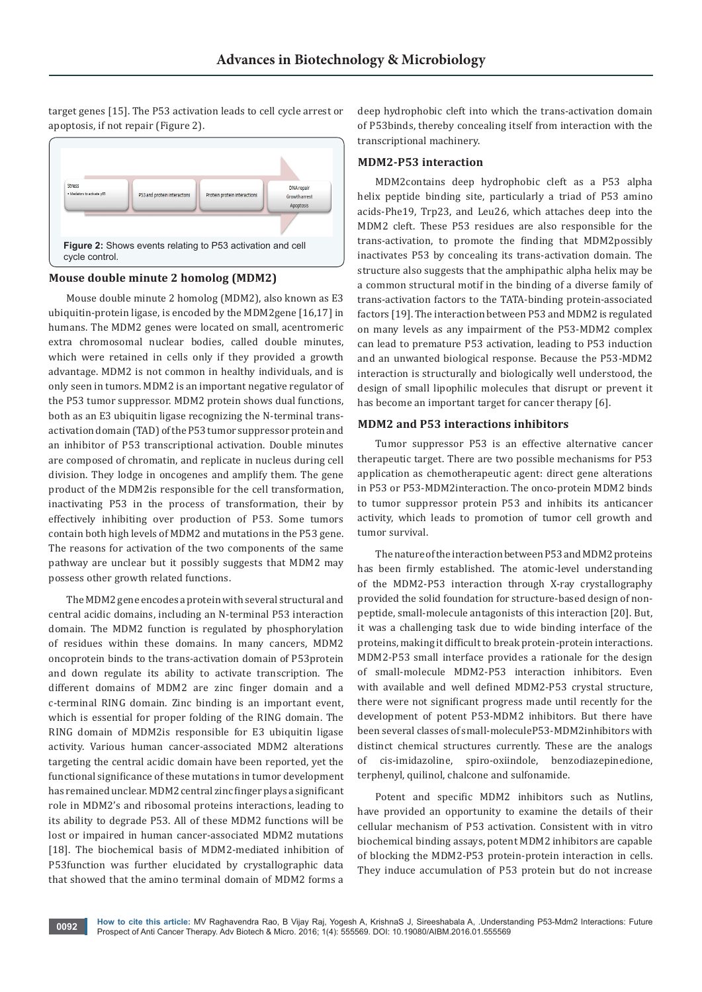target genes [15]. The P53 activation leads to cell cycle arrest or apoptosis, if not repair (Figure 2).



## **Mouse double minute 2 homolog (MDM2)**

Mouse double minute 2 homolog (MDM2), also known as E3 ubiquitin-protein ligase, is encoded by the MDM2gene [16,17] in humans. The MDM2 genes were located on small, acentromeric extra chromosomal nuclear bodies, called double minutes, which were retained in cells only if they provided a growth advantage. MDM2 is not common in healthy individuals, and is only seen in tumors. MDM2 is an important negative regulator of the P53 tumor suppressor. MDM2 protein shows dual functions, both as an E3 ubiquitin ligase recognizing the N-terminal transactivation domain (TAD) of the P53 tumor suppressor protein and an inhibitor of P53 transcriptional activation. Double minutes are composed of chromatin, and replicate in nucleus during cell division. They lodge in oncogenes and amplify them. The gene product of the MDM2is responsible for the cell transformation, inactivating P53 in the process of transformation, their by effectively inhibiting over production of P53. Some tumors contain both high levels of MDM2 and mutations in the P53 gene. The reasons for activation of the two components of the same pathway are unclear but it possibly suggests that MDM2 may possess other growth related functions.

The MDM2 gene encodes a protein with several structural and central acidic domains, including an N-terminal P53 interaction domain. The MDM2 function is regulated by phosphorylation of residues within these domains. In many cancers, MDM2 oncoprotein binds to the trans-activation domain of P53protein and down regulate its ability to activate transcription. The different domains of MDM2 are zinc finger domain and a c-terminal RING domain. Zinc binding is an important event, which is essential for proper folding of the RING domain. The RING domain of MDM2is responsible for E3 ubiquitin ligase activity. Various human cancer-associated MDM2 alterations targeting the central acidic domain have been reported, yet the functional significance of these mutations in tumor development has remained unclear. MDM2 central zinc finger plays a significant role in MDM2's and ribosomal proteins interactions, leading to its ability to degrade P53. All of these MDM2 functions will be lost or impaired in human cancer-associated MDM2 mutations [18]. The biochemical basis of MDM2-mediated inhibition of P53function was further elucidated by crystallographic data that showed that the amino terminal domain of MDM2 forms a

deep hydrophobic cleft into which the trans-activation domain of P53binds, thereby concealing itself from interaction with the transcriptional machinery.

#### **MDM2-P53 interaction**

MDM2contains deep hydrophobic cleft as a P53 alpha helix peptide binding site, particularly a triad of P53 amino acids-Phe19, Trp23, and Leu26, which attaches deep into the MDM2 cleft. These P53 residues are also responsible for the trans-activation, to promote the finding that MDM2possibly inactivates P53 by concealing its trans-activation domain. The structure also suggests that the amphipathic alpha helix may be a common structural motif in the binding of a diverse family of trans-activation factors to the TATA-binding protein-associated factors [19]. The interaction between P53 and MDM2 is regulated on many levels as any impairment of the P53-MDM2 complex can lead to premature P53 activation, leading to P53 induction and an unwanted biological response. Because the P53-MDM2 interaction is structurally and biologically well understood, the design of small lipophilic molecules that disrupt or prevent it has become an important target for cancer therapy [6].

#### **MDM2 and P53 interactions inhibitors**

Tumor suppressor P53 is an effective alternative cancer therapeutic target. There are two possible mechanisms for P53 application as chemotherapeutic agent: direct gene alterations in P53 or P53-MDM2interaction. The onco-protein MDM2 binds to tumor suppressor protein P53 and inhibits its anticancer activity, which leads to promotion of tumor cell growth and tumor survival.

The nature of the interaction between P53 and MDM2 proteins has been firmly established. The atomic-level understanding of the MDM2-P53 interaction through X-ray crystallography provided the solid foundation for structure-based design of nonpeptide, small-molecule antagonists of this interaction [20]. But, it was a challenging task due to wide binding interface of the proteins, making it difficult to break protein-protein interactions. MDM2-P53 small interface provides a rationale for the design of small-molecule MDM2-P53 interaction inhibitors. Even with available and well defined MDM2-P53 crystal structure, there were not significant progress made until recently for the development of potent P53-MDM2 inhibitors. But there have been several classes of small-moleculeP53-MDM2inhibitors with distinct chemical structures currently. These are the analogs of cis-imidazoline, spiro-oxiindole, benzodiazepinedione, terphenyl, quilinol, chalcone and sulfonamide.

Potent and specific MDM2 inhibitors such as Nutlins, have provided an opportunity to examine the details of their cellular mechanism of P53 activation. Consistent with in vitro biochemical binding assays, potent MDM2 inhibitors are capable of blocking the MDM2-P53 protein-protein interaction in cells. They induce accumulation of P53 protein but do not increase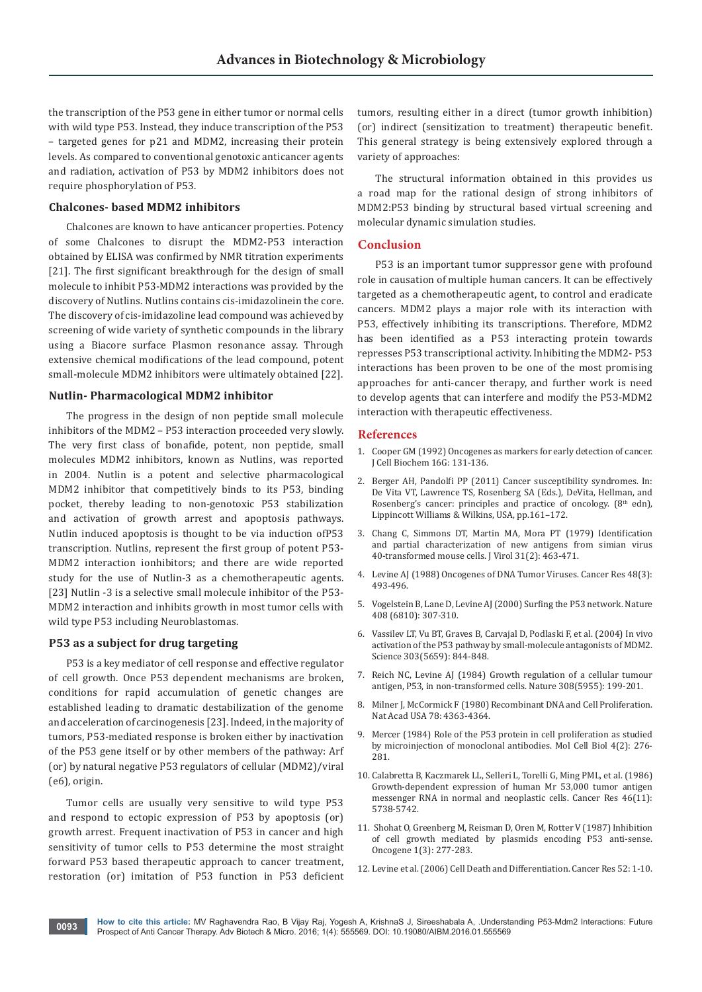the transcription of the P53 gene in either tumor or normal cells with wild type P53. Instead, they induce transcription of the P53 – targeted genes for p21 and MDM2, increasing their protein levels. As compared to conventional genotoxic anticancer agents and radiation, activation of P53 by MDM2 inhibitors does not require phosphorylation of P53.

#### **Chalcones- based MDM2 inhibitors**

Chalcones are known to have anticancer properties. Potency of some Chalcones to disrupt the MDM2-P53 interaction obtained by ELISA was confirmed by NMR titration experiments [21]. The first significant breakthrough for the design of small molecule to inhibit P53-MDM2 interactions was provided by the discovery of Nutlins. Nutlins contains cis-imidazolinein the core. The discovery of cis-imidazoline lead compound was achieved by screening of wide variety of synthetic compounds in the library using a Biacore surface Plasmon resonance assay. Through extensive chemical modifications of the lead compound, potent small-molecule MDM2 inhibitors were ultimately obtained [22].

#### **Nutlin- Pharmacological MDM2 inhibitor**

The progress in the design of non peptide small molecule inhibitors of the MDM2 – P53 interaction proceeded very slowly. The very first class of bonafide, potent, non peptide, small molecules MDM2 inhibitors, known as Nutlins, was reported in 2004. Nutlin is a potent and selective pharmacological MDM2 inhibitor that competitively binds to its P53, binding pocket, thereby leading to non-genotoxic P53 stabilization and activation of growth arrest and apoptosis pathways. Nutlin induced apoptosis is thought to be via induction ofP53 transcription. Nutlins, represent the first group of potent P53- MDM2 interaction ionhibitors; and there are wide reported study for the use of Nutlin-3 as a chemotherapeutic agents. [23] Nutlin -3 is a selective small molecule inhibitor of the P53-MDM2 interaction and inhibits growth in most tumor cells with wild type P53 including Neuroblastomas.

## **P53 as a subject for drug targeting**

P53 is a key mediator of cell response and effective regulator of cell growth. Once P53 dependent mechanisms are broken, conditions for rapid accumulation of genetic changes are established leading to dramatic destabilization of the genome and acceleration of carcinogenesis [23]. Indeed, in the majority of tumors, P53-mediated response is broken either by inactivation of the P53 gene itself or by other members of the pathway: Arf (or) by natural negative P53 regulators of cellular (MDM2)/viral (e6), origin.

Tumor cells are usually very sensitive to wild type P53 and respond to ectopic expression of P53 by apoptosis (or) growth arrest. Frequent inactivation of P53 in cancer and high sensitivity of tumor cells to P53 determine the most straight forward P53 based therapeutic approach to cancer treatment, restoration (or) imitation of P53 function in P53 deficient tumors, resulting either in a direct (tumor growth inhibition) (or) indirect (sensitization to treatment) therapeutic benefit. This general strategy is being extensively explored through a variety of approaches:

The structural information obtained in this provides us a road map for the rational design of strong inhibitors of MDM2:P53 binding by structural based virtual screening and molecular dynamic simulation studies.

#### **Conclusion**

P53 is an important tumor suppressor gene with profound role in causation of multiple human cancers. It can be effectively targeted as a chemotherapeutic agent, to control and eradicate cancers. MDM2 plays a major role with its interaction with P53, effectively inhibiting its transcriptions. Therefore, MDM2 has been identified as a P53 interacting protein towards represses P53 transcriptional activity. Inhibiting the MDM2- P53 interactions has been proven to be one of the most promising approaches for anti-cancer therapy, and further work is need to develop agents that can interfere and modify the P53-MDM2 interaction with therapeutic effectiveness.

#### **References**

- 1. [Cooper GM \(1992\) Oncogenes as markers for early detection of cancer.](https://www.ncbi.nlm.nih.gov/pubmed/1469892)  [J Cell Biochem 16G: 131-136.](https://www.ncbi.nlm.nih.gov/pubmed/1469892)
- 2. Berger AH, Pandolfi PP (2011) Cancer susceptibility syndromes. In: De Vita VT, Lawrence TS, Rosenberg SA (Eds.), DeVita, Hellman, and Rosenberg's cancer: principles and practice of oncology.  $(8<sup>th</sup> edn)$ , Lippincott Williams & Wilkins, USA, pp.161–172.
- 3. Chang C, Simmons DT, Martin MA, Mora PT (1979) Identification and partial characterization of new antigens from simian virus 40-transformed mouse cells. J Virol [31\(2\): 463-471.](https://www.ncbi.nlm.nih.gov/pubmed/225565)
- 4. [Levine AJ \(1988\) Oncogenes of DNA Tumor Viruses. Cancer Res 48\(3\):](https://www.ncbi.nlm.nih.gov/pubmed/3275498)  [493-496.](https://www.ncbi.nlm.nih.gov/pubmed/3275498)
- 5. [Vogelstein B](https://www.ncbi.nlm.nih.gov/pubmed/?term=Vogelstein%20B%5BAuthor%5D&cauthor=true&cauthor_uid=11099028), [Lane D](https://www.ncbi.nlm.nih.gov/pubmed/?term=Lane%20D%5BAuthor%5D&cauthor=true&cauthor_uid=11099028), Levine AJ[\(2000\) Surfing the P53 network. Nature](https://www.ncbi.nlm.nih.gov/pubmed/?term=Levine%20AJ%5BAuthor%5D&cauthor=true&cauthor_uid=11099028)  [408 \(6810\): 307-310.](https://www.ncbi.nlm.nih.gov/pubmed/?term=Levine%20AJ%5BAuthor%5D&cauthor=true&cauthor_uid=11099028)
- 6. [Vassilev LT, Vu BT, Graves B, Carvajal D, Podlaski F, et al. \(2004\) In vivo](https://www.ncbi.nlm.nih.gov/pubmed/14704432)  [activation of the P53 pathway by small-molecule antagonists of MDM2.](https://www.ncbi.nlm.nih.gov/pubmed/14704432)  [Science 303\(5659\): 844-848.](https://www.ncbi.nlm.nih.gov/pubmed/14704432)
- 7. [Reich NC, Levine AJ \(1984\) Growth regulation of a cellular tumour](https://www.ncbi.nlm.nih.gov/pubmed/6366574)  [antigen, P53, in non-transformed cells. Nature 308\(5955\): 199-201.](https://www.ncbi.nlm.nih.gov/pubmed/6366574)
- 8. Milner J, McCormick F (1980) Recombinant DNA and Cell Proliferation. Nat Acad USA 78: 4363-4364.
- 9. [Mercer \(1984\) Role of the P53 protein in cell proliferation as studied](https://www.ncbi.nlm.nih.gov/pubmed/6366518)  [by microinjection of monoclonal antibodies. Mol Cell Biol 4\(2\): 276-](https://www.ncbi.nlm.nih.gov/pubmed/6366518) [281.](https://www.ncbi.nlm.nih.gov/pubmed/6366518)
- 10. [Calabretta B, Kaczmarek LL, Selleri L, Torelli G, Ming PML, et al. \(1986\)](https://www.ncbi.nlm.nih.gov/pubmed/3019534)  [Growth-dependent expression of human Mr 53,000 tumor antigen](https://www.ncbi.nlm.nih.gov/pubmed/3019534)  [messenger RNA in normal and neoplastic cells. Cancer Res 46\(11\):](https://www.ncbi.nlm.nih.gov/pubmed/3019534)  [5738-5742.](https://www.ncbi.nlm.nih.gov/pubmed/3019534)
- 11. [Shohat O](https://www.ncbi.nlm.nih.gov/pubmed/?term=Shohat%20O%5BAuthor%5D&cauthor=true&cauthor_uid=2455263), [Greenberg M](https://www.ncbi.nlm.nih.gov/pubmed/?term=Greenberg%20M%5BAuthor%5D&cauthor=true&cauthor_uid=2455263), [Reisman D,](https://www.ncbi.nlm.nih.gov/pubmed/?term=Reisman%20D%5BAuthor%5D&cauthor=true&cauthor_uid=2455263) [Oren M,](https://www.ncbi.nlm.nih.gov/pubmed/?term=Oren%20M%5BAuthor%5D&cauthor=true&cauthor_uid=2455263) [Rotter V \(1987\)](https://www.ncbi.nlm.nih.gov/pubmed/?term=Rotter%20V%5BAuthor%5D&cauthor=true&cauthor_uid=2455263) Inhibition [of cell growth mediated by plasmids encoding P53 anti-sense.](https://www.ncbi.nlm.nih.gov/pubmed/?term=Rotter%20V%5BAuthor%5D&cauthor=true&cauthor_uid=2455263)  [Oncogene 1\(3\): 277-283.](https://www.ncbi.nlm.nih.gov/pubmed/?term=Rotter%20V%5BAuthor%5D&cauthor=true&cauthor_uid=2455263)
- 12. Levine et al. (2006) Cell Death and Differentiation. Cancer Res 52: 1-10.